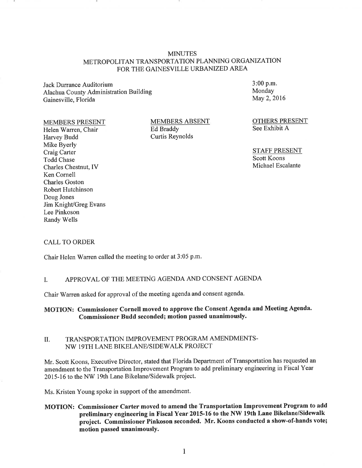#### **MINUTES** METROPOLITAN TRANSPORTATION PLANNING ORGANIZATION FOR THE GAINESVILLE URBANIZED AREA

Jack Durrance Auditorium Alachua County Administration Building Gainesville, Florida

MEMBERS PRESENT

Helen Warren, Chair Harvey Budd Mike Byerly Craig Carter Todd Chase Charles Chestnut, IV Ken Cornell Charles Goston Robert Hutchinson Doug Jones Jim Knight/Greg Evans Lee Pinkoson Randy Wells

MEMBERS ABSENT Ed Braddy Curtis Reynolds

3:00 p.m. Monday May 2, 2016

OTHERS PRESENT See Exhibit A

STAFF PRESENT Scott Koons Michael Escalante

#### CALL TO ORDER

Chair Helen Warren called the meeting to order at 3:05 p.m.

## I. APPROVAL OF THE MEETING AGENDA AND CONSENT AGENDA

Chair Warren asked for approval of the meeting agenda and consent agenda.

## MOTION: Commissioner Cornell moved to approve the Consent Agenda and Meeting Agenda. Commissioner Budd seconded; motion passed unanimously.

#### II. TRANSPORTATION IMPROVEMENT PROGRAM AMENDMENTS-NW l 9TH LANE BIKELANE/SIDEW ALK PROJECT

Mr. Scott Koons, Executive Director, stated that Florida Department of Transportation has requested an amendment to the Transportation Improvement Program to add preliminary engineering in Fiscal Year 2015-16 to the NW 19th Lane Bikelane/Sidewalk project.

Ms. Kristen Young spoke in support of the amendment.

MOTION: Commissioner Carter moved to amend the Transportation Improvement Program to add preliminary engineering in Fiscal Year 2015-16 to the NW 19th Lane Bikelane/Sidewalk project. Commissioner Pinkoson seconded. Mr. Koons conducted a show-of-hands vote; motion passed unanimously.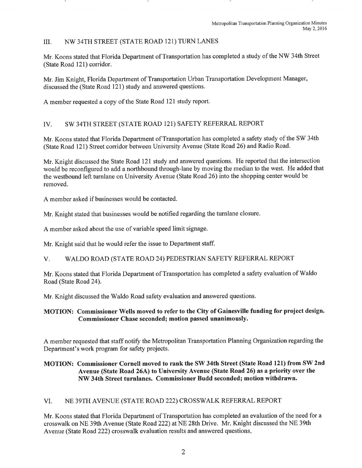## III. NW 34TH STREET (STATE ROAD 121) TURN LANES

Mr. Koons stated that Florida Department of Transportation has completed a study of the NW 34th Street (State Road 121) corridor.

Mr. Jim Knight, Florida Department of Transportation Urban Transportation Development Manager, discussed the (State Road 121) study and answered questions.

A member requested a copy of the State Road 121 study report.

## IV. SW 34TH STREET (STATE ROAD 121) SAFETY REFERRAL REPORT

Mr. Koons stated that Florida Department of Transportation has completed a safety study of the SW 34th (State Road 121) Street corridor between University Avenue (State Road 26) and Radio Road.

Mr. Knight discussed the State Road 121 study and answered questions. He reported that the intersection would be reconfigured to add a northbound through-lane by moving the median to the west. He added that the westbound left turnlane on University Avenue (State Road 26) into the shopping center would be removed.

A member asked if businesses would be contacted.

Mr. Knight stated that businesses would be notified regarding the turnlane closure.

A member asked about the use of variable speed limit signage.

Mr. Knight said that he would refer the issue to Department staff.

### V. WALDO ROAD (STATE ROAD 24) PEDESTRIAN SAFETY REFERRAL REPORT

Mr. Koons stated that Florida Department of Transportation has completed a safety evaluation of Waldo Road (State Road 24).

Mr. Knight discussed the Waldo Road safety evaluation and answered questions.

## **MOTION: Commissioner Wells moved to refer to the City of Gainesville funding for project design. Commissioner Chase seconded; motion passed unanimously.**

A member requested that staff notify the Metropolitan Transportation Planning Organization regarding the Department's work program for safety projects.

## **MOTION: Commissioner Cornell moved to rank the SW 34th Street (State Road 121) from SW 2nd Avenue (State Road 26A) to University Avenue (State Road 26) as a priority over the NW 34th Street turnlanes. Commissioner Budd seconded; motion withdrawn.**

### VI. NE 39TH AVENUE (STATE ROAD 222) CROSSWALK REFERRAL REPORT

Mr. Koons stated that Florida Department of Transportation has completed an evaluation of the need for a crosswalk on NE 39th Avenue (State Road 222) at NE 28th Drive. Mr. Knight discussed the NE 39th A venue (State Road 222) crosswalk evaluation results and answered questions.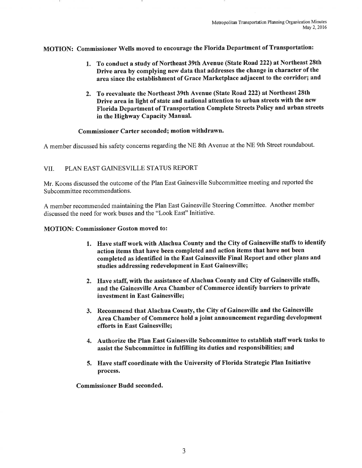MOTION: Commissioner Wells moved to encourage the Florida Department of Transportation:

- 1. To conduct a study of Northeast 39th Avenue (State Road 222) at Northeast 28th Drive area by complying new data that addresses the change in character of the area since the establishment of Grace Marketplace adjacent to the corridor; and
- 2. To reevaluate the Northeast 39th Avenue (State Road 222) at Northeast 28th Drive area in light of state and national attention to urban streets with the new Florida Department of Transportation Complete Streets Policy and urban streets in the Highway Capacity Manual.

#### Commissioner Carter seconded; motion withdrawn.

A member discussed his safety concerns regarding the NE 8th Avenue at the NE 9th Street roundabout.

### VII. PLAN EAST GAINESVILLE STATUS REPORT

Mr. Koons discussed the outcome of the Plan East Gainesville Subcommittee meeting and reported the Subcommittee recommendations.

A member recommended maintaining the Plan East Gainesville Steering Committee. Another member discussed the need for work buses and the "Look East" Initiative.

### MOTION: Commissioner Goston moved to:

- 1. Have staff work with Alachua County and the City of Gainesville staffs to identify action items that have been completed and action items that have not been completed as identified in the East Gainesville Final Report and other plans and studies addressing redevelopment in East Gainesville;
- 2. Have staff, with the assistance of Alachua County and City of Gainesville staffs, and the Gainesville Area Chamber of Commerce identify barriers to private investment in East Gainesville;
- 3. Recommend that Alachua County, the City of Gainesville and the Gainesville Area Chamber of Commerce hold a joint announcement regarding development efforts in East Gainesville;
- 4. Authorize the Plan East Gainesville Subcommittee to establish staff work tasks to assist the Subcommittee in fulfilling its duties and responsibilities; and
- 5. Have staff coordinate with the University of Florida Strategic Plan Initiative process.

Commissioner Budd seconded.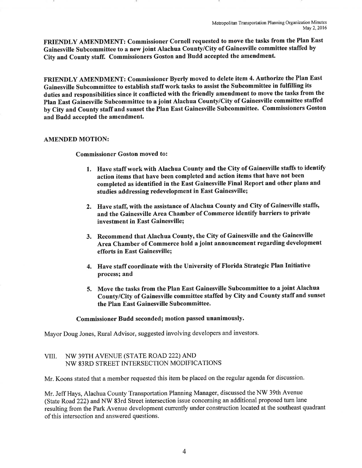FRIENDLY AMENDMENT: Commissioner Cornell requested to move the tasks from the Piao East Gainesville Subcommittee to a new joint Alachua County/City of Gainesville committee staffed by City and County staff. Commissioners Goston and Budd accepted the amendment.

FRIENDLY AMENDMENT: Commissioner Byerly moved to delete item 4. Authorize the Plan East Gainesville Subcommittee to establish staff work tasks to assist the Subcommittee in fulfilling its duties and responsibilities since it conflicted with the friendly amendment to move the tasks from the Plan East Gainesville Subcommittee to a joint Alachua County/City of Gainesville committee staffed by City and County staff and sunset the Plan East Gainesville Subcommittee. Commissioners Goston and Budd accepted the amendment.

#### AMENDED MOTION:

Commissioner Goston moved to:

- 1. Have staff work with Alachua County and the City of Gainesville staffs to identify action items that have been completed and action items that have not been completed as identified in the East Gainesville Final Report and other plans and studies addressing redevelopment in East Gainesville;
- 2. Have staff, with the assistance of Alachua County and City of Gainesville staffs, and the Gainesville Area Chamber of Commerce identify barriers to private investment in East Gainesville;
- 3. Recommend that Alachua County, the City of Gainesville and the Gainesville Area Chamber of Commerce hold a joint announcement regarding development efforts in East Gainesville;
- 4. Have staff coordinate with the University of Florida Strategic Plan Initiative process; and
- 5. Move the tasks from the Plan East Gainesville Subcommittee to a joint Alachua County/City of Gainesville committee staffed by City and County staff and sunset the Plan East Gainesville Subcommittee.

### Commissioner Budd seconded; motion passed unanimously.

Mayor Doug Jones, Rural Advisor, suggested involving developers and investors.

## VIII. NW 39TH AVENUE (STATE ROAD 222) AND NW 83RD STREET INTERSECTION MODIFICATIONS

Mr. Koons stated that a member requested this item be placed on the regular agenda for discussion.

Mr. Jeff Hays, Alachua County Transportation Planning Manager, discussed the NW 39th Avenue (State Road 222) and NW 83rd Street intersection issue concerning an additional proposed tum lane resulting from the Park Avenue development currently under construction located at the southeast quadrant of this intersection and answered questions.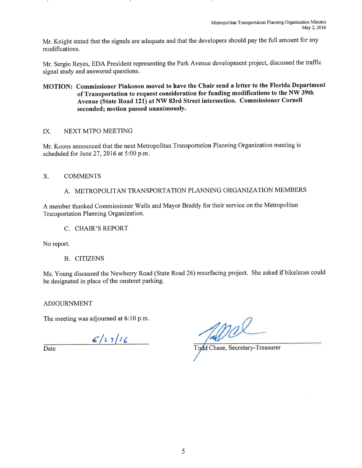Mr. Knight stated that the signals are adequate and that the developers should pay the full amount for any modifications.

Mr. Sergio Reyes, EDA President representing the Park A venue development project, discussed the traffic signal study and answered questions.

**MOTION: Commissioner Pinkoson moved to have the Chair send a letter to the Florida Department of Transportation to request consideration for funding modifications to the NW 39th Avenue (State Road 121) at NW 83rd Street intersection. Commissioner Cornell seconded; motion passed unanimously.** 

## IX. NEXT MTPO MEETING

Mr. Koons announced that the next Metropolitan Transportation Planning Organization meeting is scheduled for June 27, 2016 at 5:00 p.m.

## X. COMMENTS

A. METROPOLITAN TRANSPORTATION PLANNING ORGANIZATION MEMBERS

A member thanked Commissioner Wells and Mayor Braddy for their service on the Metropolitan Transportation Planning Organization.

C. CHAIR'S REPORT

No report.

B. CITIZENS

Ms. Young discussed the Newberry Road (State Road 26) resurfacing project. She asked if bikelanes could be designated in place of the onstreet parking.

ADJOURNMENT

The meeting was adjourned at 6:10 p.m.

 $6/27/16$ 

Date Todd Chase, Secretary-Treasurer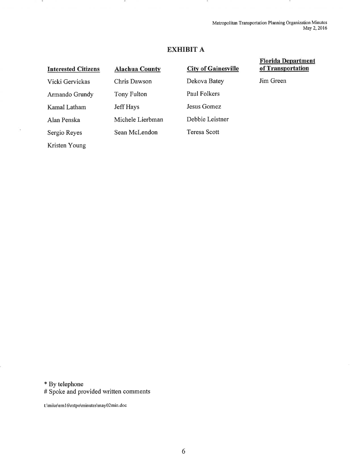Metropolitan Transportation Planning Organization Minutes May 2,2016

# **EXHIBIT A**

#### **Interested Citizens**  Vicki Gervickas Armando Grundy Kamal Latham Alan Penska Sergio Reyes Kristen Young **AJachua County**  Chris Dawson Tony Fulton Jeff Hays Michele Lierbman Sean McLendon **City of Gainesville**  Dekova Batey Paul Folkers Jesus Gomez Debbie Leistner Teresa Scott

## **Flo.rida Department of Transportation**

Jim Green

\* By telephone

# Spoke and provided written comments

t:\mike\em I 6\mtpo\minutes\may02min.doc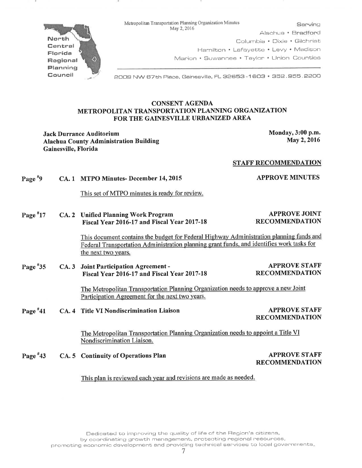Metropolitan Transportation Planning Organization Minutes<br>May 2, 2016

North Central Florida Regional Planning Council

Alachua • Bradford Columbia • Dixie • Gilchrist Hamilton • Lafayette • Levy • Madison Marion • Suwannee • Taylor • Union Counties

2008 NW 87th Piece, Gainesville, FL 32653-1603 • 352. 855. 2200

#### CONSENT AGENDA METROPOLITAN TRANSPORTATION PLANNING ORGANIZATION FOR THE GAINESVILLE URBANIZED AREA

Jack Durrance Auditorium and the state of the Monday, 3:00 p.m. Alachua County Administration Building Gainesville, Florida

May2,2016

APPROVE MINUTES

APPROVE JOINT RECOMMENDATION

#### STAFF RECOMMENDATION

Page  $*9$ CA. 1 MTPO Minutes- December 14, 2015

This set of MTPO minutes is ready for review.

Page<sup>#</sup>17 CA. 2 Unified Planning Work Program Fiscal Year 2016-17 and Fiscal Year 2017-18

This document contains the budget for Federal Highway Administration planning funds and Federal Transportation Administration planning grant funds, and identifies work tasks for the next two years.

Page #35 CA. 3 Joint Participation Agreement - Fiscal Year 2016-17 and Fiscal Year 2017-18 APPROVE STAFF RECOMMENDATION

> The Metropolitan Transportation Planning Organization needs to approve a new Joint Participation Agreement for the next two years.

Page #41 CA. 4 Title VI Nondiscrimination Liaison APPROVE STAFF

RECOMMENDATION

The Metropolitan Transportation Planning Organization needs to appoint a Title VJ Nondiscrimination Liaison.

Page #43 CA. 5 Continuity of Operations Plan

APPROVE STAFF RECOMMENDATION

This plan is reviewed each year and revisions are made as needed.

Dedicated to improving the quality of life of the Region's citizens, by coordinating growth management, protecting regional resources,

promoting economic development and providing technical services to local governments.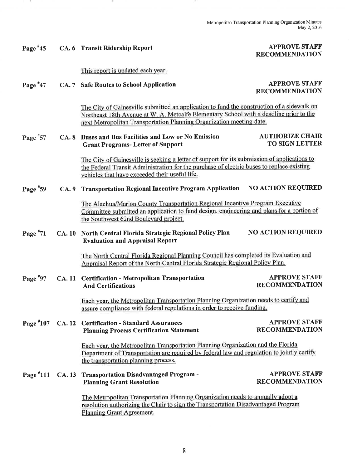## APPROVE STAFF RECOMMENDATION

Page #45 CA. 6 Transit Ridership Report

- 91

# This report is updated each year.

 $\sim$ 

| Page $*47$  |               | CA. 7 Safe Routes to School Application                                                                                                                                                                                                                      | <b>APPROVE STAFF</b><br><b>RECOMMENDATION</b>   |
|-------------|---------------|--------------------------------------------------------------------------------------------------------------------------------------------------------------------------------------------------------------------------------------------------------------|-------------------------------------------------|
|             |               | The City of Gainesville submitted an application to fund the construction of a sidewalk on<br>Northeast 18th Avenue at W. A. Metcalfe Elementary School with a deadline prior to the<br>next Metropolitan Transportation Planning Organization meeting date. |                                                 |
| Page #57    |               | CA. 8 Buses and Bus Facilities and Low or No Emission<br><b>Grant Programs- Letter of Support</b>                                                                                                                                                            | <b>AUTHORIZE CHAIR</b><br><b>TO SIGN LETTER</b> |
|             |               | The City of Gainesville is seeking a letter of support for its submission of applications to<br>the Federal Transit Administration for the purchase of electric buses to replace existing<br>vehicles that have exceeded their useful life.                  |                                                 |
| Page #59    | CA.9          | <b>Transportation Regional Incentive Program Application</b>                                                                                                                                                                                                 | <b>NO ACTION REQUIRED</b>                       |
|             |               | The Alachua/Marion County Transportation Regional Incentive Program Executive<br>Committee submitted an application to fund design, engineering and plans for a portion of<br>the Southwest 62nd Boulevard project.                                          |                                                 |
| Page $*71$  | CA.10         | North Central Florida Strategic Regional Policy Plan<br><b>Evaluation and Appraisal Report</b>                                                                                                                                                               | <b>NO ACTION REQUIRED</b>                       |
|             |               | The North Central Florida Regional Planning Council has completed its Evaluation and<br>Appraisal Report of the North Central Florida Strategic Regional Policy Plan.                                                                                        |                                                 |
| Page $*97$  | <b>CA.</b> 11 | <b>Certification - Metropolitan Transportation</b><br><b>And Certifications</b>                                                                                                                                                                              | <b>APPROVE STAFF</b><br><b>RECOMMENDATION</b>   |
|             |               | Each year, the Metropolitan Transportation Planning Organization needs to certify and<br>assure compliance with federal regulations in order to receive funding.                                                                                             |                                                 |
| Page $*107$ |               | CA. 12 Certification - Standard Assurances<br><b>Planning Process Certification Statement</b>                                                                                                                                                                | <b>APPROVE STAFF</b><br><b>RECOMMENDATION</b>   |
|             |               | Each year, the Metropolitan Transportation Planning Organization and the Florida<br>Department of Transportation are required by federal law and regulation to jointly certify<br>the transportation planning process.                                       |                                                 |
| Page $*111$ | <b>CA. 13</b> | <b>Transportation Disadvantaged Program -</b><br><b>Planning Grant Resolution</b>                                                                                                                                                                            | <b>APPROVE STAFF</b><br><b>RECOMMENDATION</b>   |
|             |               | The Metropolitan Transportation Planning Organization needs to annually adopt a<br>resolution authorizing the Chair to sign the Transportation Disadvantaged Program                                                                                         |                                                 |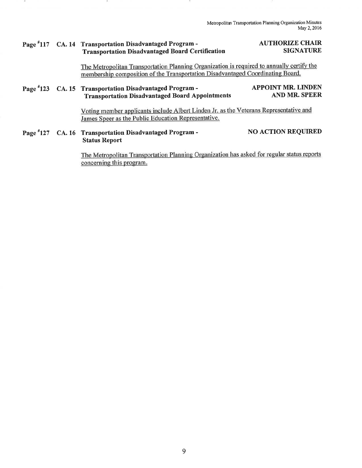Metropolitan Transportation Planning Organization Minutes May 2,2016

### Page #117 CA. 14 Transportation Disadvantaged Program - Transportation Disadvantaged Board Certification

 $\sim$ 

### AUTHORIZE CHAIR SIGNATURE

The Metropolitan Transportation Planning Organization is required to annually certify the membership composition of the Transportation Disadvantaged Coordinating Board.

#### Page #123 CA. 15 Transportation Disadvantaged Program - Transportation Disadvantaged Board Appointments APPOINT MR. LINDEN AND MR. SPEER

Voting member applicants include Albert Linden Jr. as the Veterans Representative and James Speer as the Public Education Representative.

Page #127 CA. 16 Transportation Disadvantaged Program - Status Report NO ACTION REQUIRED

> The Metropolitan Transportation Planning Organization has asked for regular status reports concerning this program.